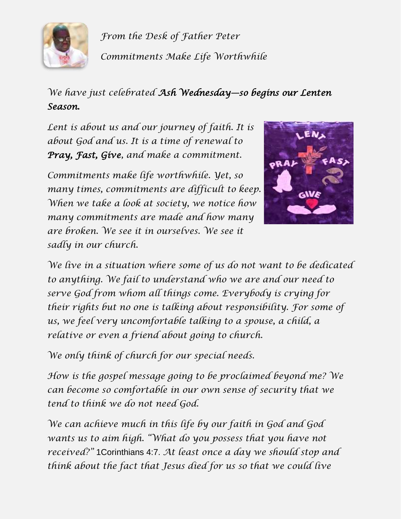

*From the Desk of Father Peter Commitments Make Life Worthwhile*

*We have just celebrated Ash Wednesday—so begins our Lenten Season.*

*Lent is about us and our journey of faith. It is about God and us. It is a time of renewal to Pray, Fast, Give, and make a commitment.* 

*Commitments make life worthwhile. Yet, so many times, commitments are difficult to keep. When we take a look at society, we notice how many commitments are made and how many are broken. We see it in ourselves. We see it sadly in our church.*



*We live in a situation where some of us do not want to be dedicated to anything. We fail to understand who we are and our need to serve God from whom all things come. Everybody is crying for their rights but no one is talking about responsibility. For some of us, we feel very uncomfortable talking to a spouse, a child, a relative or even a friend about going to church.*

*We only think of church for our special needs.*

*How is the gospel message going to be proclaimed beyond me? We can become so comfortable in our own sense of security that we tend to think we do not need God.*

*We can achieve much in this life by our faith in God and God wants us to aim high. "What do you possess that you have not received?"* 1Corinthians 4:7. *At least once a day we should stop and think about the fact that Jesus died for us so that we could live*